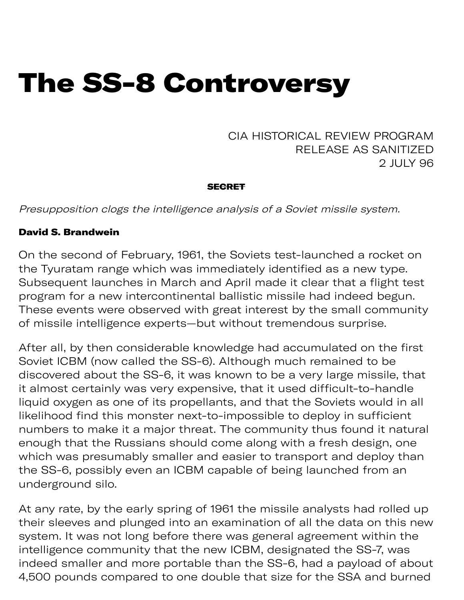# The SS-8 Controversy

CIA HISTORICAL REVIEW PROGRAM RELEASE AS SANITIZED 2 JULY 96

#### **SECRET**

Presupposition clogs the intelligence analysis of a Soviet missile system.

### David S. Brandwein

On the second of February, 1961, the Soviets test-launched a rocket on the Tyuratam range which was immediately identified as a new type. Subsequent launches in March and April made it clear that a flight test program for a new intercontinental ballistic missile had indeed begun. These events were observed with great interest by the small community of missile intelligence experts—but without tremendous surprise.

After all, by then considerable knowledge had accumulated on the first Soviet ICBM (now called the SS-6). Although much remained to be discovered about the SS-6, it was known to be a very large missile, that it almost certainly was very expensive, that it used difficult-to-handle liquid oxygen as one of its propellants, and that the Soviets would in all likelihood find this monster next-to-impossible to deploy in sufficient numbers to make it a major threat. The community thus found it natural enough that the Russians should come along with a fresh design, one which was presumably smaller and easier to transport and deploy than the SS-6, possibly even an ICBM capable of being launched from an underground silo.

At any rate, by the early spring of 1961 the missile analysts had rolled up their sleeves and plunged into an examination of all the data on this new system. It was not long before there was general agreement within the intelligence community that the new ICBM, designated the SS-7, was indeed smaller and more portable than the SS-6, had a payload of about 4,500 pounds compared to one double that size for the SSA and burned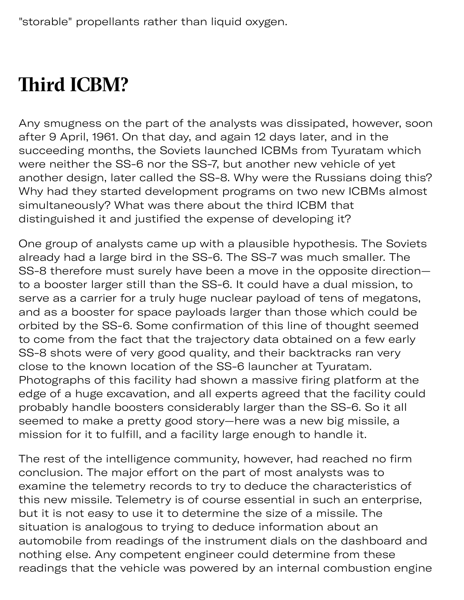# **Third ICBM?**

00 p p

Any smugness on the part of the analysts was dissipated, however, soon after 9 April, 1961. On that day, and again 12 days later, and in the succeeding months, the Soviets launched ICBMs from Tyuratam which were neither the SS-6 nor the SS-7, but another new vehicle of yet another design, later called the SS-8. Why were the Russians doing this? Why had they started development programs on two new ICBMs almost simultaneously? What was there about the third ICBM that distinguished it and justified the expense of developing it?

One group of analysts came up with a plausible hypothesis. The Soviets already had a large bird in the SS-6. The SS-7 was much smaller. The SS-8 therefore must surely have been a move in the opposite direction to a booster larger still than the SS-6. It could have a dual mission, to serve as a carrier for a truly huge nuclear payload of tens of megatons, and as a booster for space payloads larger than those which could be orbited by the SS-6. Some confirmation of this line of thought seemed to come from the fact that the trajectory data obtained on a few early SS-8 shots were of very good quality, and their backtracks ran very close to the known location of the SS-6 launcher at Tyuratam. Photographs of this facility had shown a massive firing platform at the edge of a huge excavation, and all experts agreed that the facility could probably handle boosters considerably larger than the SS-6. So it all seemed to make a pretty good story—here was a new big missile, a mission for it to fulfill, and a facility large enough to handle it.

The rest of the intelligence community, however, had reached no firm conclusion. The major effort on the part of most analysts was to examine the telemetry records to try to deduce the characteristics of this new missile. Telemetry is of course essential in such an enterprise, but it is not easy to use it to determine the size of a missile. The situation is analogous to trying to deduce information about an automobile from readings of the instrument dials on the dashboard and nothing else. Any competent engineer could determine from these readings that the vehicle was powered by an internal combustion engine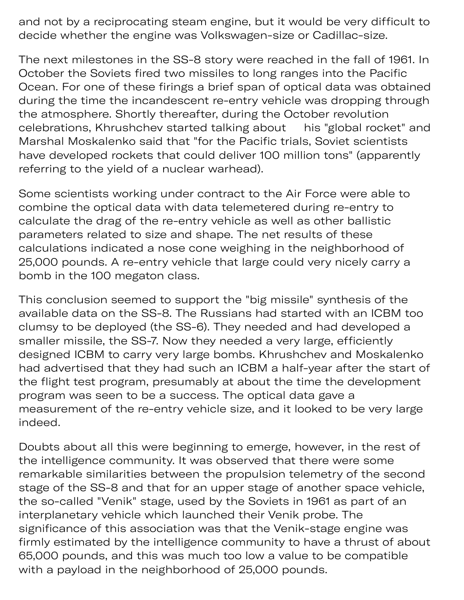ding as p y a tion engin and not by a reciprocating steam engine, but it would be very difficult to decide whether the engine was Volkswagen-size or Cadillac-size.

The next milestones in the SS-8 story were reached in the fall of 1961. In October the Soviets fired two missiles to long ranges into the Pacific Ocean. For one of these firings a brief span of optical data was obtained during the time the incandescent re-entry vehicle was dropping through the atmosphere. Shortly thereafter, during the October revolution celebrations, Khrushchev started talking about his "global rocket" and Marshal Moskalenko said that "for the Pacific trials, Soviet scientists have developed rockets that could deliver 100 million tons" (apparently referring to the yield of a nuclear warhead).

Some scientists working under contract to the Air Force were able to combine the optical data with data telemetered during re-entry to calculate the drag of the re-entry vehicle as well as other ballistic parameters related to size and shape. The net results of these calculations indicated a nose cone weighing in the neighborhood of 25,000 pounds. A re-entry vehicle that large could very nicely carry a bomb in the 100 megaton class.

This conclusion seemed to support the "big missile" synthesis of the available data on the SS-8. The Russians had started with an ICBM too clumsy to be deployed (the SS-6). They needed and had developed a smaller missile, the SS-7. Now they needed a very large, efficiently designed ICBM to carry very large bombs. Khrushchev and Moskalenko had advertised that they had such an ICBM a half-year after the start of the flight test program, presumably at about the time the development program was seen to be a success. The optical data gave a measurement of the re-entry vehicle size, and it looked to be very large indeed.

Doubts about all this were beginning to emerge, however, in the rest of the intelligence community. It was observed that there were some remarkable similarities between the propulsion telemetry of the second stage of the SS-8 and that for an upper stage of another space vehicle, the so-called "Venik" stage, used by the Soviets in 1961 as part of an interplanetary vehicle which launched their Venik probe. The significance of this association was that the Venik-stage engine was firmly estimated by the intelligence community to have a thrust of about 65,000 pounds, and this was much too low a value to be compatible with a payload in the neighborhood of 25,000 pounds.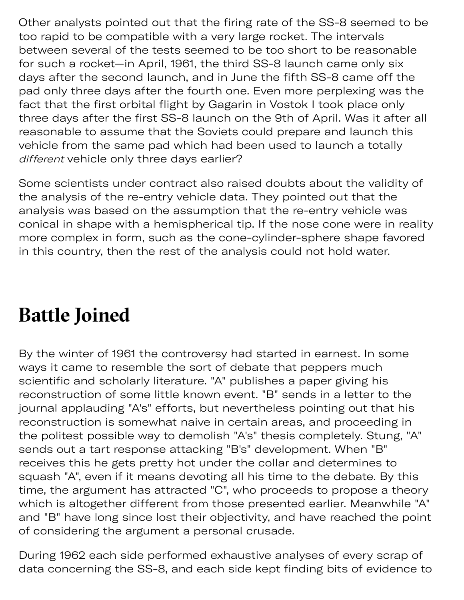Other analysts pointed out that the firing rate of the SS-8 seemed to be too rapid to be compatible with a very large rocket. The intervals between several of the tests seemed to be too short to be reasonable for such a rocket—in April, 1961, the third SS-8 launch came only six days after the second launch, and in June the fifth SS-8 came off the pad only three days after the fourth one. Even more perplexing was the fact that the first orbital flight by Gagarin in Vostok I took place only three days after the first SS-8 launch on the 9th of April. Was it after all reasonable to assume that the Soviets could prepare and launch this vehicle from the same pad which had been used to launch a totally different vehicle only three days earlier?

Some scientists under contract also raised doubts about the validity of the analysis of the re-entry vehicle data. They pointed out that the analysis was based on the assumption that the re-entry vehicle was conical in shape with a hemispherical tip. If the nose cone were in reality more complex in form, such as the cone-cylinder-sphere shape favored in this country, then the rest of the analysis could not hold water.

### **Batle Joined**

By the winter of 1961 the controversy had started in earnest. In some ways it came to resemble the sort of debate that peppers much scientific and scholarly literature. "A" publishes a paper giving his reconstruction of some little known event. "B" sends in a letter to the journal applauding "A's" efforts, but nevertheless pointing out that his reconstruction is somewhat naive in certain areas, and proceeding in the politest possible way to demolish "A's" thesis completely. Stung, "A" sends out a tart response attacking "B's" development. When "B" receives this he gets pretty hot under the collar and determines to squash "A", even if it means devoting all his time to the debate. By this time, the argument has attracted "C", who proceeds to propose a theory which is altogether different from those presented earlier. Meanwhile "A" and "B" have long since lost their objectivity, and have reached the point of considering the argument a personal crusade.

During 1962 each side performed exhaustive analyses of every scrap of data concerning the SS-8, and each side kept finding bits of evidence to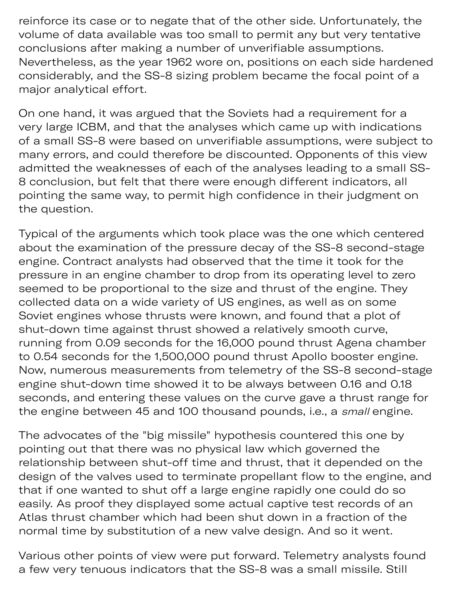reinforce its case or to negate that of the other side. Unfortunately, the volume of data available was too small to permit any but very tentative conclusions after making a number of unverifiable assumptions. Nevertheless, as the year 1962 wore on, positions on each side hardened considerably, and the SS-8 sizing problem became the focal point of a major analytical effort.

On one hand, it was argued that the Soviets had a requirement for a very large ICBM, and that the analyses which came up with indications of a small SS-8 were based on unverifiable assumptions, were subject to many errors, and could therefore be discounted. Opponents of this view admitted the weaknesses of each of the analyses leading to a small SS-8 conclusion, but felt that there were enough different indicators, all pointing the same way, to permit high confidence in their judgment on the question.

Typical of the arguments which took place was the one which centered about the examination of the pressure decay of the SS-8 second-stage engine. Contract analysts had observed that the time it took for the pressure in an engine chamber to drop from its operating level to zero seemed to be proportional to the size and thrust of the engine. They collected data on a wide variety of US engines, as well as on some Soviet engines whose thrusts were known, and found that a plot of shut-down time against thrust showed a relatively smooth curve, running from 0.09 seconds for the 16,000 pound thrust Agena chamber to 0.54 seconds for the 1,500,000 pound thrust Apollo booster engine. Now, numerous measurements from telemetry of the SS-8 second-stage engine shut-down time showed it to be always between 0.16 and 0.18 seconds, and entering these values on the curve gave a thrust range for the engine between 45 and 100 thousand pounds, i.e., a small engine.

The advocates of the "big missile" hypothesis countered this one by pointing out that there was no physical law which governed the relationship between shut-off time and thrust, that it depended on the design of the valves used to terminate propellant flow to the engine, and that if one wanted to shut off a large engine rapidly one could do so easily. As proof they displayed some actual captive test records of an Atlas thrust chamber which had been shut down in a fraction of the normal time by substitution of a new valve design. And so it went.

Various other points of view were put forward. Telemetry analysts found a few very tenuous indicators that the SS-8 was a small missile. Still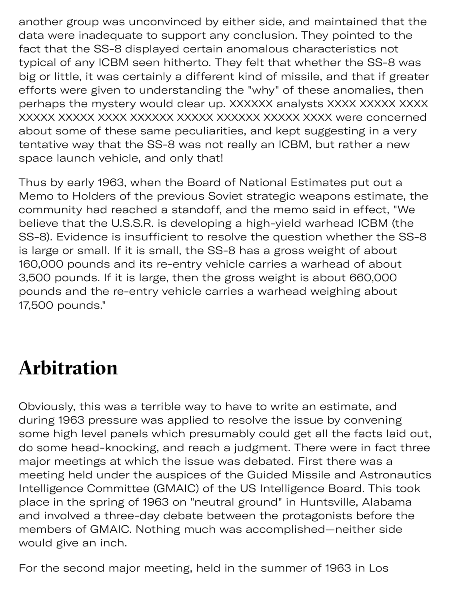another group was unconvinced by either side, and maintained that the data were inadequate to support any conclusion. They pointed to the fact that the SS-8 displayed certain anomalous characteristics not typical of any ICBM seen hitherto. They felt that whether the SS-8 was big or little, it was certainly a different kind of missile, and that if greater efforts were given to understanding the "why" of these anomalies, then perhaps the mystery would clear up. XXXXXX analysts XXXX XXXXX XXXX XXXXX XXXXX XXXX XXXXXX XXXXX XXXXXX XXXXX XXXX were concerned about some of these same peculiarities, and kept suggesting in a very tentative way that the SS-8 was not really an ICBM, but rather a new space launch vehicle, and only that!

Thus by early 1963, when the Board of National Estimates put out a Memo to Holders of the previous Soviet strategic weapons estimate, the community had reached a standoff, and the memo said in effect, "We believe that the U.S.S.R. is developing a high-yield warhead ICBM (the SS-8). Evidence is insufficient to resolve the question whether the SS-8 is large or small. If it is small, the SS-8 has a gross weight of about 160,000 pounds and its re-entry vehicle carries a warhead of about 3,500 pounds. If it is large, then the gross weight is about 660,000 pounds and the re-entry vehicle carries a warhead weighing about 17,500 pounds."

## **Arbitration**

y t

Obviously, this was a terrible way to have to write an estimate, and during 1963 pressure was applied to resolve the issue by convening some high level panels which presumably could get all the facts laid out, do some head-knocking, and reach a judgment. There were in fact three major meetings at which the issue was debated. First there was a meeting held under the auspices of the Guided Missile and Astronautics Intelligence Committee (GMAIC) of the US Intelligence Board. This took place in the spring of 1963 on "neutral ground" in Huntsville, Alabama and involved a three-day debate between the protagonists before the members of GMAIC. Nothing much was accomplished—neither side would give an inch.

For the second major meeting, held in the summer of 1963 in Los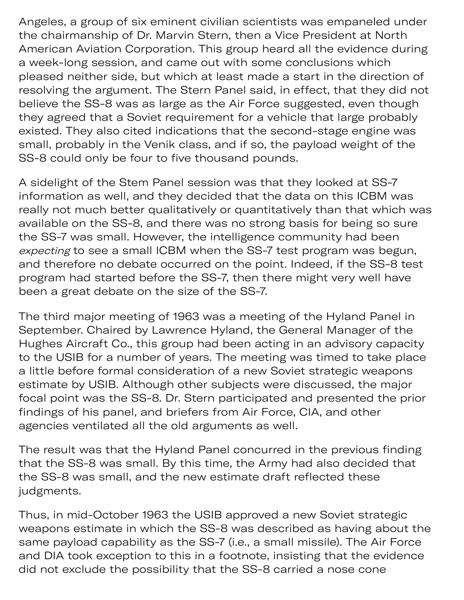Angeles, a group of six eminent civilian scientists was empaneled under the chairmanship of Dr. Marvin Stern, then a Vice President at North American Aviation Corporation. This group heard all the evidence during a week-long session, and came out with some conclusions which pleased neither side, but which at least made a start in the direction of resolving the argument. The Stern Panel said, in effect, that they did not believe the SS-8 was as large as the Air Force suggested, even though they agreed that a Soviet requirement for a vehicle that large probably existed. They also cited indications that the second-stage engine was small, probably in the Venik class, and if so, the payload weight of the SS-8 could only be four to five thousand pounds.

d major m ting

A sidelight of the Stem Panel session was that they looked at SS-7 information as well, and they decided that the data on this ICBM was really not much better qualitatively or quantitatively than that which was available on the SS-8, and there was no strong basis for being so sure the SS-7 was small. However, the intelligence community had been expecting to see a small ICBM when the SS-7 test program was begun, and therefore no debate occurred on the point. Indeed, if the SS-8 test program had started before the SS-7, then there might very well have been a great debate on the size of the SS-7.

The third major meeting of 1963 was a meeting of the Hyland Panel in September. Chaired by Lawrence Hyland, the General Manager of the Hughes Aircraft Co., this group had been acting in an advisory capacity to the USIB for a number of years. The meeting was timed to take place a little before formal consideration of a new Soviet strategic weapons estimate by USIB. Although other subjects were discussed, the major focal point was the SS-8. Dr. Stern participated and presented the prior findings of his panel, and briefers from Air Force, CIA, and other agencies ventilated all the old arguments as well.

The result was that the Hyland Panel concurred in the previous finding that the SS-8 was small. By this time, the Army had also decided that the SS-8 was small, and the new estimate draft reflected these judgments.

Thus, in mid-October 1963 the USIB approved a new Soviet strategic weapons estimate in which the SS-8 was described as having about the same payload capability as the SS-7 (i.e., a small missile). The Air Force and DIA took exception to this in a footnote, insisting that the evidence did not exclude the possibility that the SS-8 carried a nose cone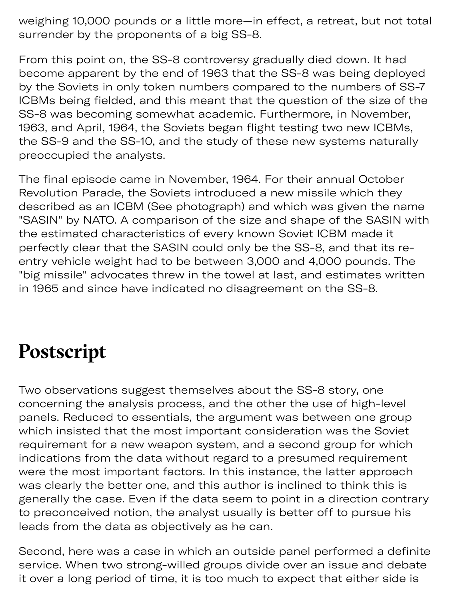weighing 10,000 pounds or a little more—in effect, a retreat, but not total surrender by the proponents of a big SS-8.

From this point on, the SS-8 controversy gradually died down. It had become apparent by the end of 1963 that the SS-8 was being deployed by the Soviets in only token numbers compared to the numbers of SS-7 ICBMs being fielded, and this meant that the question of the size of the SS-8 was becoming somewhat academic. Furthermore, in November, 1963, and April, 1964, the Soviets began flight testing two new ICBMs, the SS-9 and the SS-10, and the study of these new systems naturally preoccupied the analysts.

The final episode came in November, 1964. For their annual October Revolution Parade, the Soviets introduced a new missile which they described as an ICBM (See photograph) and which was given the name "SASIN" by NATO. A comparison of the size and shape of the SASIN with the estimated characteristics of every known Soviet ICBM made it perfectly clear that the SASIN could only be the SS-8, and that its reentry vehicle weight had to be between 3,000 and 4,000 pounds. The "big missile" advocates threw in the towel at last, and estimates written in 1965 and since have indicated no disagreement on the SS-8.

### **Postscript**

Two observations suggest themselves about the SS-8 story, one concerning the analysis process, and the other the use of high-level panels. Reduced to essentials, the argument was between one group which insisted that the most important consideration was the Soviet requirement for a new weapon system, and a second group for which indications from the data without regard to a presumed requirement were the most important factors. In this instance, the latter approach was clearly the better one, and this author is inclined to think this is generally the case. Even if the data seem to point in a direction contrary to preconceived notion, the analyst usually is better off to pursue his leads from the data as objectively as he can.

Second, here was a case in which an outside panel performed a definite service. When two strong-willed groups divide over an issue and debate it over a long period of time, it is too much to expect that either side is